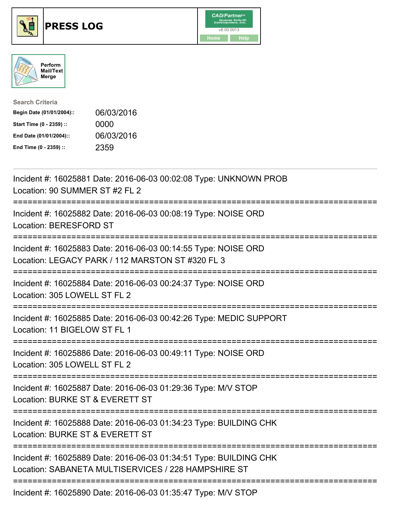





| <b>Search Criteria</b>    |            |
|---------------------------|------------|
| Begin Date (01/01/2004):: | 06/03/2016 |
| Start Time (0 - 2359) ::  | 0000       |
| End Date (01/01/2004)::   | 06/03/2016 |
| End Time (0 - 2359) ::    | 2359       |

| Incident #: 16025881 Date: 2016-06-03 00:02:08 Type: UNKNOWN PROB<br>Location: 90 SUMMER ST #2 FL 2                              |
|----------------------------------------------------------------------------------------------------------------------------------|
| Incident #: 16025882 Date: 2016-06-03 00:08:19 Type: NOISE ORD<br>Location: BERESFORD ST                                         |
| Incident #: 16025883 Date: 2016-06-03 00:14:55 Type: NOISE ORD<br>Location: LEGACY PARK / 112 MARSTON ST #320 FL 3               |
| Incident #: 16025884 Date: 2016-06-03 00:24:37 Type: NOISE ORD<br>Location: 305 LOWELL ST FL 2                                   |
| Incident #: 16025885 Date: 2016-06-03 00:42:26 Type: MEDIC SUPPORT<br>Location: 11 BIGELOW ST FL 1                               |
| Incident #: 16025886 Date: 2016-06-03 00:49:11 Type: NOISE ORD<br>Location: 305 LOWELL ST FL 2                                   |
| Incident #: 16025887 Date: 2016-06-03 01:29:36 Type: M/V STOP<br>Location: BURKE ST & EVERETT ST<br>:=======================     |
| Incident #: 16025888 Date: 2016-06-03 01:34:23 Type: BUILDING CHK<br>Location: BURKE ST & EVERETT ST<br>======================== |
| Incident #: 16025889 Date: 2016-06-03 01:34:51 Type: BUILDING CHK<br>Location: SABANETA MULTISERVICES / 228 HAMPSHIRE ST         |
| Incident #: 16025890 Date: 2016-06-03 01:35:47 Type: M/V STOP                                                                    |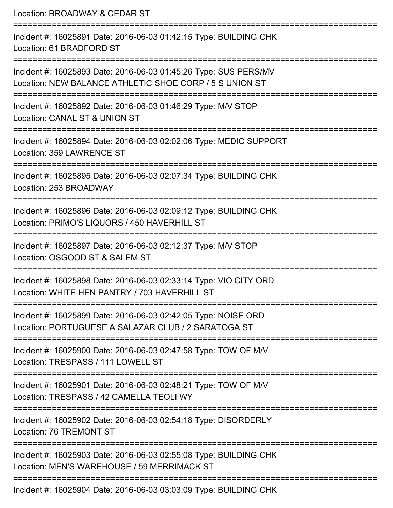Location: BROADWAY & CEDAR ST

=========================================================================== Incident #: 16025891 Date: 2016-06-03 01:42:15 Type: BUILDING CHK Location: 61 BRADFORD ST =========================================================================== Incident #: 16025893 Date: 2016-06-03 01:45:26 Type: SUS PERS/MV Location: NEW BALANCE ATHLETIC SHOE CORP / 5 S UNION ST =========================================================================== Incident #: 16025892 Date: 2016-06-03 01:46:29 Type: M/V STOP Location: CANAL ST & UNION ST =========================================================================== Incident #: 16025894 Date: 2016-06-03 02:02:06 Type: MEDIC SUPPORT Location: 359 LAWRENCE ST =========================================================================== Incident #: 16025895 Date: 2016-06-03 02:07:34 Type: BUILDING CHK Location: 253 BROADWAY =========================================================================== Incident #: 16025896 Date: 2016-06-03 02:09:12 Type: BUILDING CHK Location: PRIMO'S LIQUORS / 450 HAVERHILL ST =========================================================================== Incident #: 16025897 Date: 2016-06-03 02:12:37 Type: M/V STOP Location: OSGOOD ST & SALEM ST =========================================================================== Incident #: 16025898 Date: 2016-06-03 02:33:14 Type: VIO CITY ORD Location: WHITE HEN PANTRY / 703 HAVERHILL ST =========================================================================== Incident #: 16025899 Date: 2016-06-03 02:42:05 Type: NOISE ORD Location: PORTUGUESE A SALAZAR CLUB / 2 SARATOGA ST =========================================================================== Incident #: 16025900 Date: 2016-06-03 02:47:58 Type: TOW OF M/V Location: TRESPASS / 111 LOWELL ST =========================================================================== Incident #: 16025901 Date: 2016-06-03 02:48:21 Type: TOW OF M/V Location: TRESPASS / 42 CAMELLA TEOLI WY =========================================================================== Incident #: 16025902 Date: 2016-06-03 02:54:18 Type: DISORDERLY Location: 76 TREMONT ST =========================================================================== Incident #: 16025903 Date: 2016-06-03 02:55:08 Type: BUILDING CHK Location: MEN'S WAREHOUSE / 59 MERRIMACK ST =========================================================================== Incident #: 16025904 Date: 2016-06-03 03:03:09 Type: BUILDING CHK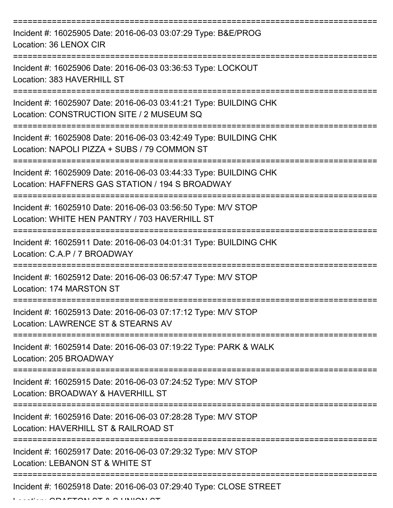| Incident #: 16025905 Date: 2016-06-03 03:07:29 Type: B&E/PROG<br>Location: 36 LENOX CIR                              |
|----------------------------------------------------------------------------------------------------------------------|
| Incident #: 16025906 Date: 2016-06-03 03:36:53 Type: LOCKOUT<br>Location: 383 HAVERHILL ST                           |
| Incident #: 16025907 Date: 2016-06-03 03:41:21 Type: BUILDING CHK<br>Location: CONSTRUCTION SITE / 2 MUSEUM SQ       |
| Incident #: 16025908 Date: 2016-06-03 03:42:49 Type: BUILDING CHK<br>Location: NAPOLI PIZZA + SUBS / 79 COMMON ST    |
| Incident #: 16025909 Date: 2016-06-03 03:44:33 Type: BUILDING CHK<br>Location: HAFFNERS GAS STATION / 194 S BROADWAY |
| Incident #: 16025910 Date: 2016-06-03 03:56:50 Type: M/V STOP<br>Location: WHITE HEN PANTRY / 703 HAVERHILL ST       |
| Incident #: 16025911 Date: 2016-06-03 04:01:31 Type: BUILDING CHK<br>Location: C.A.P / 7 BROADWAY                    |
| Incident #: 16025912 Date: 2016-06-03 06:57:47 Type: M/V STOP<br>Location: 174 MARSTON ST                            |
| Incident #: 16025913 Date: 2016-06-03 07:17:12 Type: M/V STOP<br>Location: LAWRENCE ST & STEARNS AV                  |
| Incident #: 16025914 Date: 2016-06-03 07:19:22 Type: PARK & WALK<br>Location: 205 BROADWAY                           |
| Incident #: 16025915 Date: 2016-06-03 07:24:52 Type: M/V STOP<br>Location: BROADWAY & HAVERHILL ST                   |
| Incident #: 16025916 Date: 2016-06-03 07:28:28 Type: M/V STOP<br>Location: HAVERHILL ST & RAILROAD ST                |
| Incident #: 16025917 Date: 2016-06-03 07:29:32 Type: M/V STOP<br>Location: LEBANON ST & WHITE ST                     |
| Incident #: 16025918 Date: 2016-06-03 07:29:40 Type: CLOSE STREET                                                    |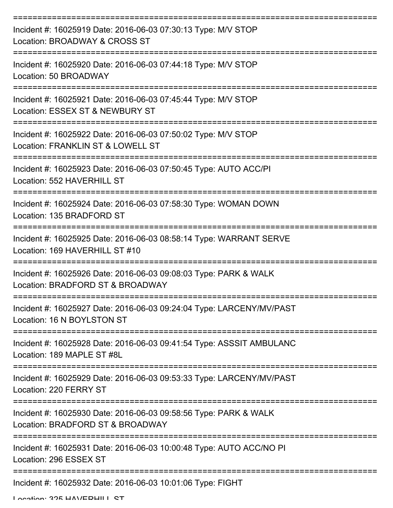| Incident #: 16025919 Date: 2016-06-03 07:30:13 Type: M/V STOP<br>Location: BROADWAY & CROSS ST       |
|------------------------------------------------------------------------------------------------------|
| Incident #: 16025920 Date: 2016-06-03 07:44:18 Type: M/V STOP<br>Location: 50 BROADWAY               |
| Incident #: 16025921 Date: 2016-06-03 07:45:44 Type: M/V STOP<br>Location: ESSEX ST & NEWBURY ST     |
| Incident #: 16025922 Date: 2016-06-03 07:50:02 Type: M/V STOP<br>Location: FRANKLIN ST & LOWELL ST   |
| Incident #: 16025923 Date: 2016-06-03 07:50:45 Type: AUTO ACC/PI<br>Location: 552 HAVERHILL ST       |
| Incident #: 16025924 Date: 2016-06-03 07:58:30 Type: WOMAN DOWN<br>Location: 135 BRADFORD ST         |
| Incident #: 16025925 Date: 2016-06-03 08:58:14 Type: WARRANT SERVE<br>Location: 169 HAVERHILL ST #10 |
| Incident #: 16025926 Date: 2016-06-03 09:08:03 Type: PARK & WALK<br>Location: BRADFORD ST & BROADWAY |
| Incident #: 16025927 Date: 2016-06-03 09:24:04 Type: LARCENY/MV/PAST<br>Location: 16 N BOYLSTON ST   |
| Incident #: 16025928 Date: 2016-06-03 09:41:54 Type: ASSSIT AMBULANC<br>Location: 189 MAPLE ST #8L   |
| Incident #: 16025929 Date: 2016-06-03 09:53:33 Type: LARCENY/MV/PAST<br>Location: 220 FERRY ST       |
| Incident #: 16025930 Date: 2016-06-03 09:58:56 Type: PARK & WALK<br>Location: BRADFORD ST & BROADWAY |
| Incident #: 16025931 Date: 2016-06-03 10:00:48 Type: AUTO ACC/NO PI<br>Location: 296 ESSEX ST        |
| Incident #: 16025932 Date: 2016-06-03 10:01:06 Type: FIGHT                                           |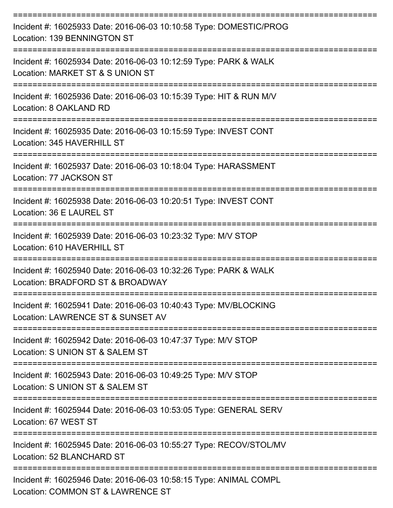| Incident #: 16025933 Date: 2016-06-03 10:10:58 Type: DOMESTIC/PROG<br>Location: 139 BENNINGTON ST      |
|--------------------------------------------------------------------------------------------------------|
| Incident #: 16025934 Date: 2016-06-03 10:12:59 Type: PARK & WALK<br>Location: MARKET ST & S UNION ST   |
| Incident #: 16025936 Date: 2016-06-03 10:15:39 Type: HIT & RUN M/V<br>Location: 8 OAKLAND RD           |
| Incident #: 16025935 Date: 2016-06-03 10:15:59 Type: INVEST CONT<br>Location: 345 HAVERHILL ST         |
| Incident #: 16025937 Date: 2016-06-03 10:18:04 Type: HARASSMENT<br>Location: 77 JACKSON ST             |
| Incident #: 16025938 Date: 2016-06-03 10:20:51 Type: INVEST CONT<br>Location: 36 E LAUREL ST           |
| Incident #: 16025939 Date: 2016-06-03 10:23:32 Type: M/V STOP<br>Location: 610 HAVERHILL ST            |
| Incident #: 16025940 Date: 2016-06-03 10:32:26 Type: PARK & WALK<br>Location: BRADFORD ST & BROADWAY   |
| Incident #: 16025941 Date: 2016-06-03 10:40:43 Type: MV/BLOCKING<br>Location: LAWRENCE ST & SUNSET AV  |
| Incident #: 16025942 Date: 2016-06-03 10:47:37 Type: M/V STOP<br>Location: S UNION ST & SALEM ST       |
| Incident #: 16025943 Date: 2016-06-03 10:49:25 Type: M/V STOP<br>Location: S UNION ST & SALEM ST       |
| Incident #: 16025944 Date: 2016-06-03 10:53:05 Type: GENERAL SERV<br>Location: 67 WEST ST              |
| Incident #: 16025945 Date: 2016-06-03 10:55:27 Type: RECOV/STOL/MV<br>Location: 52 BLANCHARD ST        |
| Incident #: 16025946 Date: 2016-06-03 10:58:15 Type: ANIMAL COMPL<br>Location: COMMON ST & LAWRENCE ST |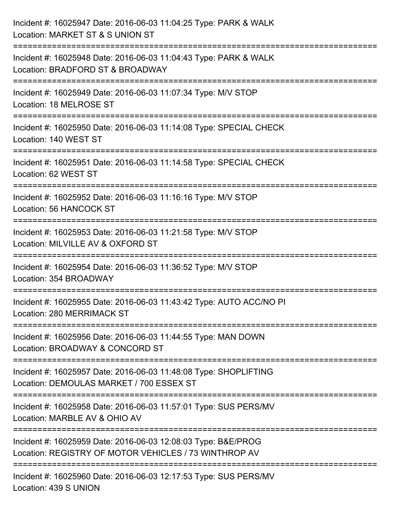| Incident #: 16025947 Date: 2016-06-03 11:04:25 Type: PARK & WALK<br>Location: MARKET ST & S UNION ST                               |
|------------------------------------------------------------------------------------------------------------------------------------|
| :=========================<br>Incident #: 16025948 Date: 2016-06-03 11:04:43 Type: PARK & WALK<br>Location: BRADFORD ST & BROADWAY |
| Incident #: 16025949 Date: 2016-06-03 11:07:34 Type: M/V STOP<br>Location: 18 MELROSE ST<br>:======================                |
| Incident #: 16025950 Date: 2016-06-03 11:14:08 Type: SPECIAL CHECK<br>Location: 140 WEST ST                                        |
| Incident #: 16025951 Date: 2016-06-03 11:14:58 Type: SPECIAL CHECK<br>Location: 62 WEST ST                                         |
| Incident #: 16025952 Date: 2016-06-03 11:16:16 Type: M/V STOP<br>Location: 56 HANCOCK ST                                           |
| Incident #: 16025953 Date: 2016-06-03 11:21:58 Type: M/V STOP<br>Location: MILVILLE AV & OXFORD ST                                 |
| Incident #: 16025954 Date: 2016-06-03 11:36:52 Type: M/V STOP<br>Location: 354 BROADWAY                                            |
| Incident #: 16025955 Date: 2016-06-03 11:43:42 Type: AUTO ACC/NO PI<br>Location: 280 MERRIMACK ST                                  |
| Incident #: 16025956 Date: 2016-06-03 11:44:55 Type: MAN DOWN<br>Location: BROADWAY & CONCORD ST                                   |
| Incident #: 16025957 Date: 2016-06-03 11:48:08 Type: SHOPLIFTING<br>Location: DEMOULAS MARKET / 700 ESSEX ST                       |
| Incident #: 16025958 Date: 2016-06-03 11:57:01 Type: SUS PERS/MV<br>Location: MARBLE AV & OHIO AV                                  |
| Incident #: 16025959 Date: 2016-06-03 12:08:03 Type: B&E/PROG<br>Location: REGISTRY OF MOTOR VEHICLES / 73 WINTHROP AV             |
| Incident #: 16025960 Date: 2016-06-03 12:17:53 Type: SUS PERS/MV<br>Location: 439 S UNION                                          |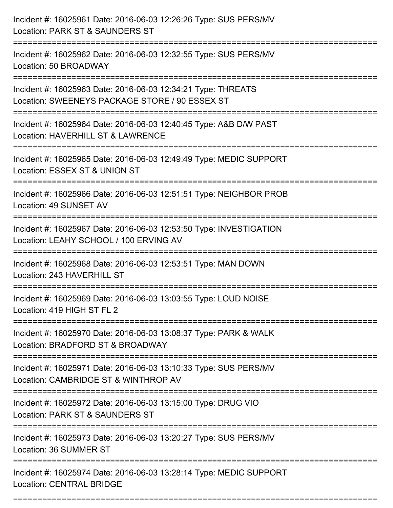| Incident #: 16025961 Date: 2016-06-03 12:26:26 Type: SUS PERS/MV<br>Location: PARK ST & SAUNDERS ST                                  |
|--------------------------------------------------------------------------------------------------------------------------------------|
| Incident #: 16025962 Date: 2016-06-03 12:32:55 Type: SUS PERS/MV<br>Location: 50 BROADWAY                                            |
| Incident #: 16025963 Date: 2016-06-03 12:34:21 Type: THREATS<br>Location: SWEENEYS PACKAGE STORE / 90 ESSEX ST                       |
| ==========================<br>Incident #: 16025964 Date: 2016-06-03 12:40:45 Type: A&B D/W PAST<br>Location: HAVERHILL ST & LAWRENCE |
| Incident #: 16025965 Date: 2016-06-03 12:49:49 Type: MEDIC SUPPORT<br>Location: ESSEX ST & UNION ST                                  |
| Incident #: 16025966 Date: 2016-06-03 12:51:51 Type: NEIGHBOR PROB<br>Location: 49 SUNSET AV                                         |
| Incident #: 16025967 Date: 2016-06-03 12:53:50 Type: INVESTIGATION<br>Location: LEAHY SCHOOL / 100 ERVING AV                         |
| Incident #: 16025968 Date: 2016-06-03 12:53:51 Type: MAN DOWN<br>Location: 243 HAVERHILL ST                                          |
| Incident #: 16025969 Date: 2016-06-03 13:03:55 Type: LOUD NOISE<br>Location: 419 HIGH ST FL 2                                        |
| Incident #: 16025970 Date: 2016-06-03 13:08:37 Type: PARK & WALK<br>Location: BRADFORD ST & BROADWAY                                 |
| Incident #: 16025971 Date: 2016-06-03 13:10:33 Type: SUS PERS/MV<br>Location: CAMBRIDGE ST & WINTHROP AV                             |
| Incident #: 16025972 Date: 2016-06-03 13:15:00 Type: DRUG VIO<br>Location: PARK ST & SAUNDERS ST                                     |
| Incident #: 16025973 Date: 2016-06-03 13:20:27 Type: SUS PERS/MV<br>Location: 36 SUMMER ST                                           |
| Incident #: 16025974 Date: 2016-06-03 13:28:14 Type: MEDIC SUPPORT<br><b>Location: CENTRAL BRIDGE</b>                                |

===========================================================================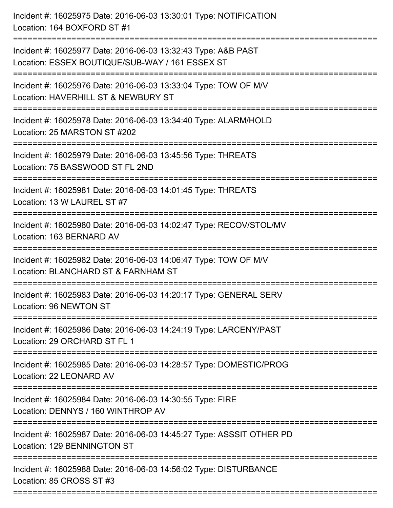| Incident #: 16025975 Date: 2016-06-03 13:30:01 Type: NOTIFICATION<br>Location: 164 BOXFORD ST #1                                                                            |
|-----------------------------------------------------------------------------------------------------------------------------------------------------------------------------|
| Incident #: 16025977 Date: 2016-06-03 13:32:43 Type: A&B PAST<br>Location: ESSEX BOUTIQUE/SUB-WAY / 161 ESSEX ST                                                            |
| Incident #: 16025976 Date: 2016-06-03 13:33:04 Type: TOW OF M/V<br>Location: HAVERHILL ST & NEWBURY ST<br>==================================<br>=========================== |
| Incident #: 16025978 Date: 2016-06-03 13:34:40 Type: ALARM/HOLD<br>Location: 25 MARSTON ST #202                                                                             |
| Incident #: 16025979 Date: 2016-06-03 13:45:56 Type: THREATS<br>Location: 75 BASSWOOD ST FL 2ND<br>:================================                                        |
| Incident #: 16025981 Date: 2016-06-03 14:01:45 Type: THREATS<br>Location: 13 W LAUREL ST #7                                                                                 |
| Incident #: 16025980 Date: 2016-06-03 14:02:47 Type: RECOV/STOL/MV<br>Location: 163 BERNARD AV                                                                              |
| Incident #: 16025982 Date: 2016-06-03 14:06:47 Type: TOW OF M/V<br>Location: BLANCHARD ST & FARNHAM ST                                                                      |
| Incident #: 16025983 Date: 2016-06-03 14:20:17 Type: GENERAL SERV<br>Location: 96 NEWTON ST                                                                                 |
| Incident #: 16025986 Date: 2016-06-03 14:24:19 Type: LARCENY/PAST<br>Location: 29 ORCHARD ST FL 1                                                                           |
| Incident #: 16025985 Date: 2016-06-03 14:28:57 Type: DOMESTIC/PROG<br>Location: 22 LEONARD AV                                                                               |
| Incident #: 16025984 Date: 2016-06-03 14:30:55 Type: FIRE<br>Location: DENNYS / 160 WINTHROP AV                                                                             |
| Incident #: 16025987 Date: 2016-06-03 14:45:27 Type: ASSSIT OTHER PD<br>Location: 129 BENNINGTON ST                                                                         |
| Incident #: 16025988 Date: 2016-06-03 14:56:02 Type: DISTURBANCE<br>Location: 85 CROSS ST #3                                                                                |
|                                                                                                                                                                             |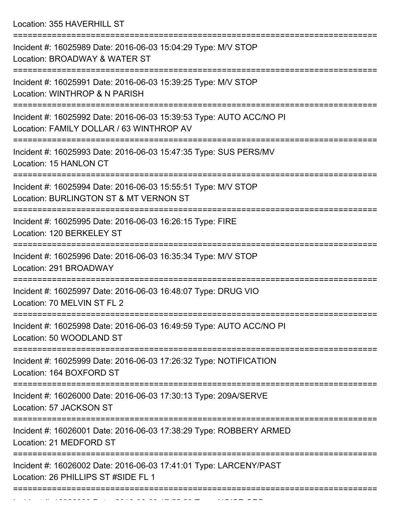Location: 355 HAVERHILL ST

| Incident #: 16025989 Date: 2016-06-03 15:04:29 Type: M/V STOP<br>Location: BROADWAY & WATER ST                                                            |
|-----------------------------------------------------------------------------------------------------------------------------------------------------------|
| Incident #: 16025991 Date: 2016-06-03 15:39:25 Type: M/V STOP<br>Location: WINTHROP & N PARISH                                                            |
| Incident #: 16025992 Date: 2016-06-03 15:39:53 Type: AUTO ACC/NO PI<br>Location: FAMILY DOLLAR / 63 WINTHROP AV                                           |
| Incident #: 16025993 Date: 2016-06-03 15:47:35 Type: SUS PERS/MV<br>Location: 15 HANLON CT                                                                |
| Incident #: 16025994 Date: 2016-06-03 15:55:51 Type: M/V STOP<br>Location: BURLINGTON ST & MT VERNON ST                                                   |
| Incident #: 16025995 Date: 2016-06-03 16:26:15 Type: FIRE<br>Location: 120 BERKELEY ST                                                                    |
| Incident #: 16025996 Date: 2016-06-03 16:35:34 Type: M/V STOP<br>Location: 291 BROADWAY                                                                   |
| Incident #: 16025997 Date: 2016-06-03 16:48:07 Type: DRUG VIO<br>Location: 70 MELVIN ST FL 2                                                              |
| Incident #: 16025998 Date: 2016-06-03 16:49:59 Type: AUTO ACC/NO PI<br>Location: 50 WOODLAND ST                                                           |
| ==================<br>==================================<br>Incident #: 16025999 Date: 2016-06-03 17:26:32 Type: NOTIFICATION<br>Location: 164 BOXFORD ST |
| Incident #: 16026000 Date: 2016-06-03 17:30:13 Type: 209A/SERVE<br>Location: 57 JACKSON ST                                                                |
| Incident #: 16026001 Date: 2016-06-03 17:38:29 Type: ROBBERY ARMED<br>Location: 21 MEDFORD ST                                                             |
| Incident #: 16026002 Date: 2016-06-03 17:41:01 Type: LARCENY/PAST<br>Location: 26 PHILLIPS ST #SIDE FL 1                                                  |
|                                                                                                                                                           |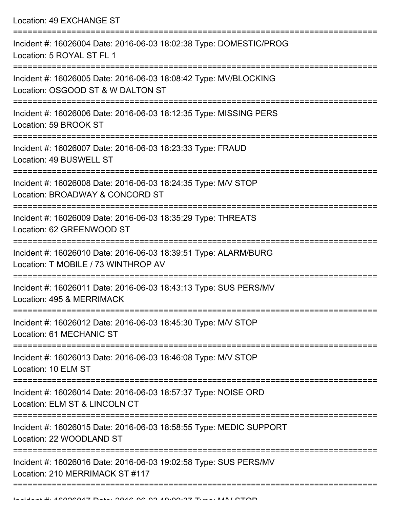Location: 49 EXCHANGE ST =========================================================================== Incident #: 16026004 Date: 2016-06-03 18:02:38 Type: DOMESTIC/PROG Location: 5 ROYAL ST FL 1 =========================================================================== Incident #: 16026005 Date: 2016-06-03 18:08:42 Type: MV/BLOCKING Location: OSGOOD ST & W DALTON ST =========================================================================== Incident #: 16026006 Date: 2016-06-03 18:12:35 Type: MISSING PERS Location: 59 BROOK ST =========================================================================== Incident #: 16026007 Date: 2016-06-03 18:23:33 Type: FRAUD Location: 49 BUSWELL ST =========================================================================== Incident #: 16026008 Date: 2016-06-03 18:24:35 Type: M/V STOP Location: BROADWAY & CONCORD ST =========================================================================== Incident #: 16026009 Date: 2016-06-03 18:35:29 Type: THREATS Location: 62 GREENWOOD ST =========================================================================== Incident #: 16026010 Date: 2016-06-03 18:39:51 Type: ALARM/BURG Location: T MOBILE / 73 WINTHROP AV =========================================================================== Incident #: 16026011 Date: 2016-06-03 18:43:13 Type: SUS PERS/MV Location: 495 & MERRIMACK =========================================================================== Incident #: 16026012 Date: 2016-06-03 18:45:30 Type: M/V STOP Location: 61 MECHANIC ST =========================================================================== Incident #: 16026013 Date: 2016-06-03 18:46:08 Type: M/V STOP Location: 10 FLM ST =========================================================================== Incident #: 16026014 Date: 2016-06-03 18:57:37 Type: NOISE ORD Location: ELM ST & LINCOLN CT =========================================================================== Incident #: 16026015 Date: 2016-06-03 18:58:55 Type: MEDIC SUPPORT Location: 22 WOODLAND ST =========================================================================== Incident #: 16026016 Date: 2016-06-03 19:02:58 Type: SUS PERS/MV Location: 210 MERRIMACK ST #117

===========================================================================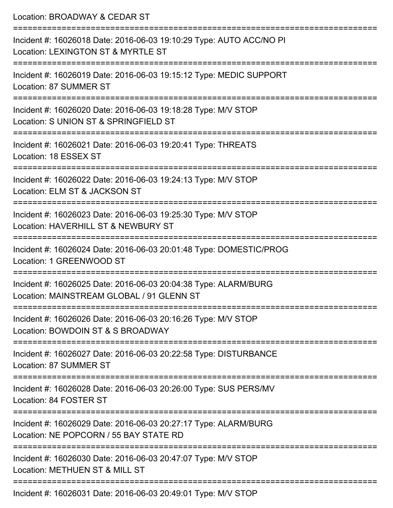| Location: BROADWAY & CEDAR ST                                                                                                         |
|---------------------------------------------------------------------------------------------------------------------------------------|
| Incident #: 16026018 Date: 2016-06-03 19:10:29 Type: AUTO ACC/NO PI<br>Location: LEXINGTON ST & MYRTLE ST                             |
| Incident #: 16026019 Date: 2016-06-03 19:15:12 Type: MEDIC SUPPORT<br>Location: 87 SUMMER ST                                          |
| Incident #: 16026020 Date: 2016-06-03 19:18:28 Type: M/V STOP<br>Location: S UNION ST & SPRINGFIELD ST                                |
| :=========================<br>Incident #: 16026021 Date: 2016-06-03 19:20:41 Type: THREATS<br>Location: 18 ESSEX ST                   |
| Incident #: 16026022 Date: 2016-06-03 19:24:13 Type: M/V STOP<br>Location: ELM ST & JACKSON ST                                        |
| Incident #: 16026023 Date: 2016-06-03 19:25:30 Type: M/V STOP<br>Location: HAVERHILL ST & NEWBURY ST                                  |
| Incident #: 16026024 Date: 2016-06-03 20:01:48 Type: DOMESTIC/PROG<br>Location: 1 GREENWOOD ST                                        |
| Incident #: 16026025 Date: 2016-06-03 20:04:38 Type: ALARM/BURG<br>Location: MAINSTREAM GLOBAL / 91 GLENN ST                          |
| -------------------------------<br>Incident #: 16026026 Date: 2016-06-03 20:16:26 Type: M/V STOP<br>Location: BOWDOIN ST & S BROADWAY |
| Incident #: 16026027 Date: 2016-06-03 20:22:58 Type: DISTURBANCE<br>Location: 87 SUMMER ST                                            |
| Incident #: 16026028 Date: 2016-06-03 20:26:00 Type: SUS PERS/MV<br>Location: 84 FOSTER ST                                            |
| Incident #: 16026029 Date: 2016-06-03 20:27:17 Type: ALARM/BURG<br>Location: NE POPCORN / 55 BAY STATE RD                             |
| Incident #: 16026030 Date: 2016-06-03 20:47:07 Type: M/V STOP<br>Location: METHUEN ST & MILL ST                                       |
|                                                                                                                                       |

Incident #: 16026031 Date: 2016-06-03 20:49:01 Type: M/V STOP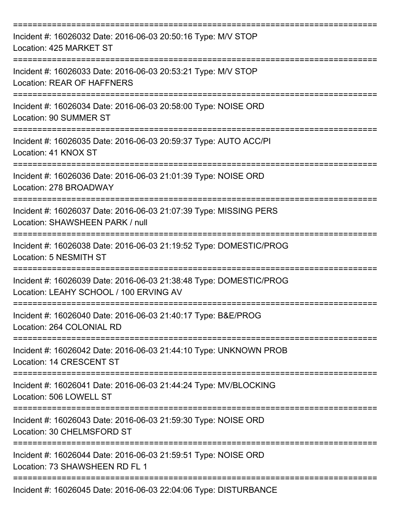| Incident #: 16026032 Date: 2016-06-03 20:50:16 Type: M/V STOP<br>Location: 425 MARKET ST                                        |
|---------------------------------------------------------------------------------------------------------------------------------|
| Incident #: 16026033 Date: 2016-06-03 20:53:21 Type: M/V STOP<br>Location: REAR OF HAFFNERS                                     |
| Incident #: 16026034 Date: 2016-06-03 20:58:00 Type: NOISE ORD<br>Location: 90 SUMMER ST                                        |
| Incident #: 16026035 Date: 2016-06-03 20:59:37 Type: AUTO ACC/PI<br>Location: 41 KNOX ST                                        |
| Incident #: 16026036 Date: 2016-06-03 21:01:39 Type: NOISE ORD<br>Location: 278 BROADWAY                                        |
| =======================<br>Incident #: 16026037 Date: 2016-06-03 21:07:39 Type: MISSING PERS<br>Location: SHAWSHEEN PARK / null |
| Incident #: 16026038 Date: 2016-06-03 21:19:52 Type: DOMESTIC/PROG<br>Location: 5 NESMITH ST<br>===========                     |
| Incident #: 16026039 Date: 2016-06-03 21:38:48 Type: DOMESTIC/PROG<br>Location: LEAHY SCHOOL / 100 ERVING AV                    |
| Incident #: 16026040 Date: 2016-06-03 21:40:17 Type: B&E/PROG<br>Location: 264 COLONIAL RD                                      |
| Incident #: 16026042 Date: 2016-06-03 21:44:10 Type: UNKNOWN PROB<br>Location: 14 CRESCENT ST                                   |
| Incident #: 16026041 Date: 2016-06-03 21:44:24 Type: MV/BLOCKING<br>Location: 506 LOWELL ST                                     |
| Incident #: 16026043 Date: 2016-06-03 21:59:30 Type: NOISE ORD<br>Location: 30 CHELMSFORD ST                                    |
| Incident #: 16026044 Date: 2016-06-03 21:59:51 Type: NOISE ORD<br>Location: 73 SHAWSHEEN RD FL 1                                |
| Incident #: 16026045 Date: 2016-06-03 22:04:06 Type: DISTURBANCE                                                                |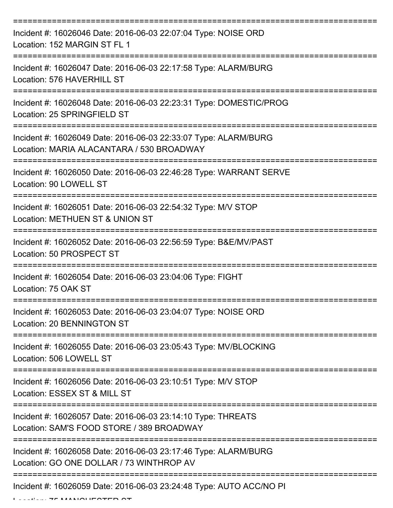| Incident #: 16026046 Date: 2016-06-03 22:07:04 Type: NOISE ORD<br>Location: 152 MARGIN ST FL 1               |
|--------------------------------------------------------------------------------------------------------------|
| Incident #: 16026047 Date: 2016-06-03 22:17:58 Type: ALARM/BURG<br>Location: 576 HAVERHILL ST                |
| Incident #: 16026048 Date: 2016-06-03 22:23:31 Type: DOMESTIC/PROG<br>Location: 25 SPRINGFIELD ST            |
| Incident #: 16026049 Date: 2016-06-03 22:33:07 Type: ALARM/BURG<br>Location: MARIA ALACANTARA / 530 BROADWAY |
| Incident #: 16026050 Date: 2016-06-03 22:46:28 Type: WARRANT SERVE<br>Location: 90 LOWELL ST                 |
| Incident #: 16026051 Date: 2016-06-03 22:54:32 Type: M/V STOP<br>Location: METHUEN ST & UNION ST             |
| Incident #: 16026052 Date: 2016-06-03 22:56:59 Type: B&E/MV/PAST<br>Location: 50 PROSPECT ST<br>===========  |
| Incident #: 16026054 Date: 2016-06-03 23:04:06 Type: FIGHT<br>Location: 75 OAK ST                            |
| Incident #: 16026053 Date: 2016-06-03 23:04:07 Type: NOISE ORD<br>Location: 20 BENNINGTON ST                 |
| Incident #: 16026055 Date: 2016-06-03 23:05:43 Type: MV/BLOCKING<br>Location: 506 LOWELL ST                  |
| Incident #: 16026056 Date: 2016-06-03 23:10:51 Type: M/V STOP<br>Location: ESSEX ST & MILL ST                |
| Incident #: 16026057 Date: 2016-06-03 23:14:10 Type: THREATS<br>Location: SAM'S FOOD STORE / 389 BROADWAY    |
| Incident #: 16026058 Date: 2016-06-03 23:17:46 Type: ALARM/BURG<br>Location: GO ONE DOLLAR / 73 WINTHROP AV  |
| Incident #: 16026059 Date: 2016-06-03 23:24:48 Type: AUTO ACC/NO PI                                          |

 $L$ .... 75 MANCHESTER ST